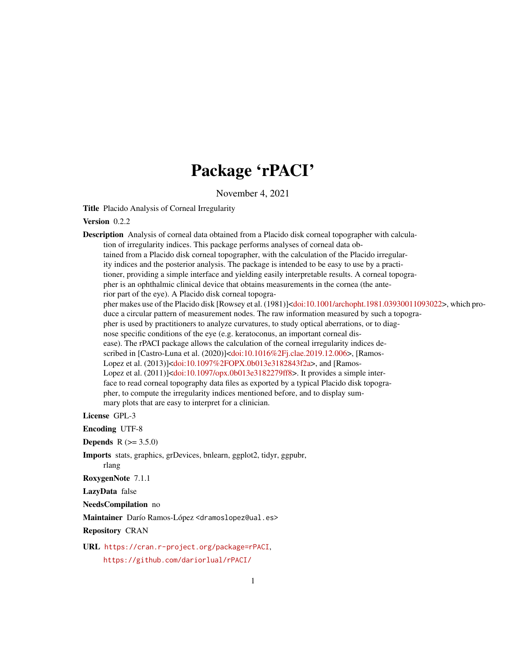# Package 'rPACI'

November 4, 2021

Title Placido Analysis of Corneal Irregularity

#### Version 0.2.2

Description Analysis of corneal data obtained from a Placido disk corneal topographer with calculation of irregularity indices. This package performs analyses of corneal data obtained from a Placido disk corneal topographer, with the calculation of the Placido irregularity indices and the posterior analysis. The package is intended to be easy to use by a practitioner, providing a simple interface and yielding easily interpretable results. A corneal topographer is an ophthalmic clinical device that obtains measurements in the cornea (the anterior part of the eye). A Placido disk corneal topogra-pher makes use of the Placido disk [Rowsey et al. (1981)][<doi:10.1001/archopht.1981.03930011093022>](https://doi.org/10.1001/archopht.1981.03930011093022), which produce a circular pattern of measurement nodes. The raw information measured by such a topographer is used by practitioners to analyze curvatures, to study optical aberrations, or to diagnose specific conditions of the eye (e.g. keratoconus, an important corneal disease). The rPACI package allows the calculation of the corneal irregularity indices described in [Castro-Luna et al. (2020)][<doi:10.1016%2Fj.clae.2019.12.006>](https://doi.org/10.1016%2Fj.clae.2019.12.006), [Ramos-Lopez et al. (2013)][<doi:10.1097%2FOPX.0b013e3182843f2a>](https://doi.org/10.1097%2FOPX.0b013e3182843f2a), and [Ramos-Lopez et al. (2011)][<doi:10.1097/opx.0b013e3182279ff8>](https://doi.org/10.1097/opx.0b013e3182279ff8). It provides a simple interface to read corneal topography data files as exported by a typical Placido disk topographer, to compute the irregularity indices mentioned before, and to display summary plots that are easy to interpret for a clinician.

License GPL-3

Encoding UTF-8

**Depends**  $R (= 3.5.0)$ 

Imports stats, graphics, grDevices, bnlearn, ggplot2, tidyr, ggpubr,

rlang

RoxygenNote 7.1.1

LazyData false

NeedsCompilation no

Maintainer Darío Ramos-López <dramoslopez@ual.es>

Repository CRAN

URL <https://cran.r-project.org/package=rPACI>, <https://github.com/dariorlual/rPACI/>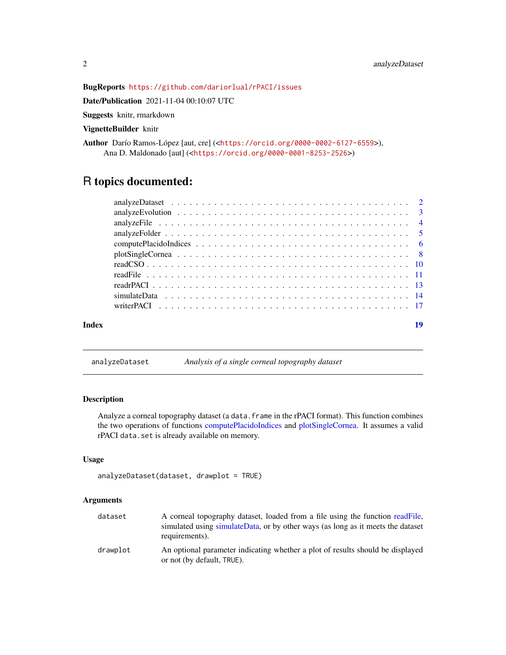# <span id="page-1-0"></span>BugReports <https://github.com/dariorlual/rPACI/issues>

Date/Publication 2021-11-04 00:10:07 UTC

Suggests knitr, rmarkdown

VignetteBuilder knitr

Author Darío Ramos-López [aut, cre] (<<https://orcid.org/0000-0002-6127-6559>>), Ana D. Maldonado [aut] (<<https://orcid.org/0000-0001-8253-2526>>)

# R topics documented:

| Index | 19 |
|-------|----|

analyzeDataset *Analysis of a single corneal topography dataset*

#### Description

Analyze a corneal topography dataset (a data.frame in the rPACI format). This function combines the two operations of functions [computePlacidoIndices](#page-5-1) and [plotSingleCornea.](#page-7-1) It assumes a valid rPACI data.set is already available on memory.

# Usage

```
analyzeDataset(dataset, drawplot = TRUE)
```
# Arguments

| dataset  | A corneal topography dataset, loaded from a file using the function readFile,<br>simulated using simulateData, or by other ways (as long as it meets the dataset<br>requirements). |
|----------|------------------------------------------------------------------------------------------------------------------------------------------------------------------------------------|
| drawplot | An optional parameter indicating whether a plot of results should be displayed<br>or not (by default, TRUE).                                                                       |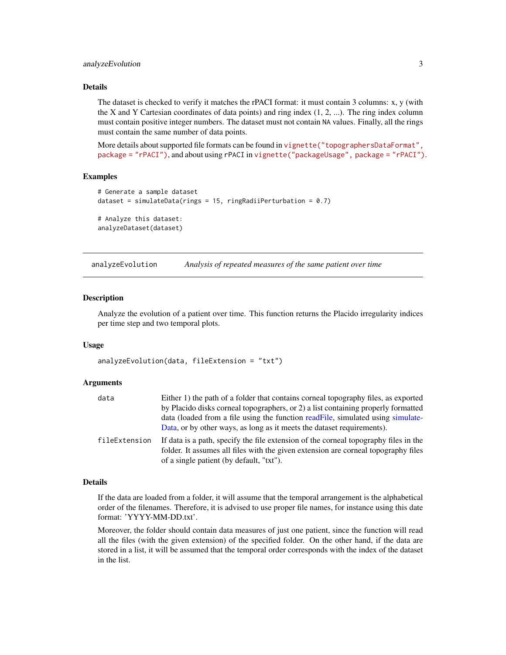# <span id="page-2-0"></span>analyzeEvolution 3

# Details

The dataset is checked to verify it matches the rPACI format: it must contain 3 columns: x, y (with the X and Y Cartesian coordinates of data points) and ring index (1, 2, ...). The ring index column must contain positive integer numbers. The dataset must not contain NA values. Finally, all the rings must contain the same number of data points.

More details about supported file formats can be found in [vignette\("topographersDataFormat",](../doc/topographersDataFormat.html) [package = "rPACI"\)](../doc/topographersDataFormat.html), and about using rPACI in [vignette\("packageUsage", package = "rPACI"\)](../doc/packageUsage.html).

#### Examples

```
# Generate a sample dataset
dataset = simulateData(rings = 15, ringRadiiPerturbation = 0.7)
# Analyze this dataset:
analyzeDataset(dataset)
```
analyzeEvolution *Analysis of repeated measures of the same patient over time*

#### Description

Analyze the evolution of a patient over time. This function returns the Placido irregularity indices per time step and two temporal plots.

#### Usage

analyzeEvolution(data, fileExtension = "txt")

# Arguments

| data          | Either 1) the path of a folder that contains corneal topography files, as exported                                                                                                                                     |
|---------------|------------------------------------------------------------------------------------------------------------------------------------------------------------------------------------------------------------------------|
|               | by Placido disks corneal topographers, or 2) a list containing properly formatted                                                                                                                                      |
|               | data (loaded from a file using the function readFile, simulated using simulate-<br>Data, or by other ways, as long as it meets the dataset requirements).                                                              |
| fileExtension | If data is a path, specify the file extension of the corneal topography files in the<br>folder. It assumes all files with the given extension are corneal topography files<br>of a single patient (by default, "txt"). |

#### Details

If the data are loaded from a folder, it will assume that the temporal arrangement is the alphabetical order of the filenames. Therefore, it is advised to use proper file names, for instance using this date format: 'YYYY-MM-DD.txt'.

Moreover, the folder should contain data measures of just one patient, since the function will read all the files (with the given extension) of the specified folder. On the other hand, if the data are stored in a list, it will be assumed that the temporal order corresponds with the index of the dataset in the list.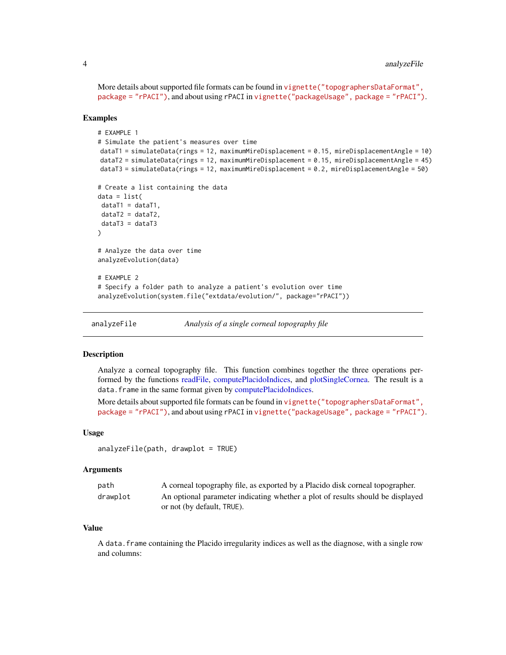<span id="page-3-0"></span>More details about supported file formats can be found in [vignette\("topographersDataFormat",](../doc/topographersDataFormat.html) [package = "rPACI"\)](../doc/topographersDataFormat.html), and about using rPACI in [vignette\("packageUsage", package = "rPACI"\)](../doc/packageUsage.html).

#### Examples

```
# EXAMPLE 1
# Simulate the patient's measures over time
dataT1 = simulateData(rings = 12, maximumMireDisplacement = 0.15, mireDisplacementAngle = 10)
dataT2 = simulateData(rings = 12, maximumMireDisplacement = 0.15, mireDisplacementAngle = 45)
dataT3 = simulateData(rings = 12, maximumMireDisplacement = 0.2, mireDisplacementAngle = 50)
# Create a list containing the data
data = list(
dataT1 = dataT1,
dataT2 = dataT2,
dataT3 = dataT3)
# Analyze the data over time
analyzeEvolution(data)
# EXAMPLE 2
# Specify a folder path to analyze a patient's evolution over time
analyzeEvolution(system.file("extdata/evolution/", package="rPACI"))
```
<span id="page-3-1"></span>analyzeFile *Analysis of a single corneal topography file*

### **Description**

Analyze a corneal topography file. This function combines together the three operations performed by the functions [readFile,](#page-10-1) [computePlacidoIndices,](#page-5-1) and [plotSingleCornea.](#page-7-1) The result is a data. frame in the same format given by [computePlacidoIndices.](#page-5-1)

More details about supported file formats can be found in vignette ("topographersDataFormat", [package = "rPACI"\)](../doc/topographersDataFormat.html), and about using rPACI in [vignette\("packageUsage", package = "rPACI"\)](../doc/packageUsage.html).

#### Usage

```
analyzeFile(path, drawplot = TRUE)
```
#### Arguments

| path     | A corneal topography file, as exported by a Placido disk corneal topographer.  |
|----------|--------------------------------------------------------------------------------|
| drawplot | An optional parameter indicating whether a plot of results should be displayed |
|          | or not (by default, TRUE).                                                     |

# Value

A data.frame containing the Placido irregularity indices as well as the diagnose, with a single row and columns: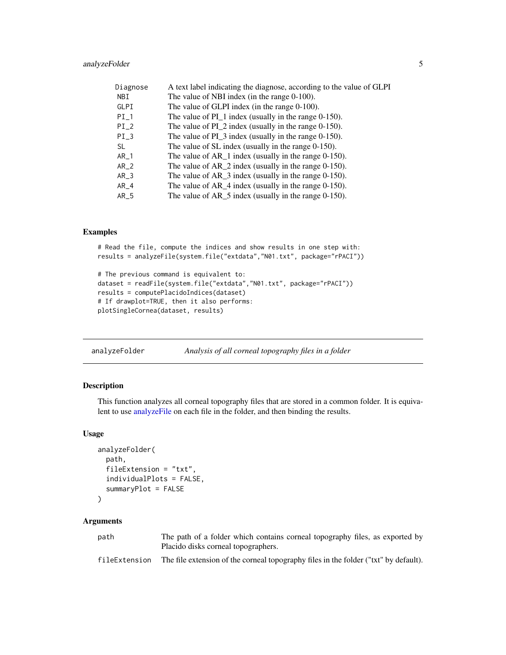# <span id="page-4-0"></span>analyzeFolder 5

| Diagnose | A text label indicating the diagnose, according to the value of GLPI |
|----------|----------------------------------------------------------------------|
| NBI      | The value of NBI index (in the range 0-100).                         |
| GLPI     | The value of GLPI index (in the range 0-100).                        |
| $PI_1$   | The value of $PI_1$ index (usually in the range 0-150).              |
| $PI_2$   | The value of PI 2 index (usually in the range $0-150$ ).             |
| $PI_3$   | The value of $PI_3$ index (usually in the range 0-150).              |
| SL.      | The value of SL index (usually in the range 0-150).                  |
| $AR_1$   | The value of $AR_1$ index (usually in the range 0-150).              |
| $AR_2$   | The value of $AR_2$ index (usually in the range 0-150).              |
| $AR_3$   | The value of $AR_3$ index (usually in the range 0-150).              |
| $AR_4$   | The value of $AR_4$ index (usually in the range 0-150).              |
| $AR_5$   | The value of $AR_5$ index (usually in the range 0-150).              |

# Examples

# Read the file, compute the indices and show results in one step with: results = analyzeFile(system.file("extdata","N01.txt", package="rPACI"))

```
# The previous command is equivalent to:
dataset = readFile(system.file("extdata","N01.txt", package="rPACI"))
results = computePlacidoIndices(dataset)
# If drawplot=TRUE, then it also performs:
plotSingleCornea(dataset, results)
```
analyzeFolder *Analysis of all corneal topography files in a folder*

### Description

This function analyzes all corneal topography files that are stored in a common folder. It is equivalent to use [analyzeFile](#page-3-1) on each file in the folder, and then binding the results.

#### Usage

```
analyzeFolder(
  path,
  fileExtension = "txt",
  individualPlots = FALSE,
  summaryPlot = FALSE
)
```
#### Arguments

| path          | The path of a folder which contains corneal topography files, as exported by         |
|---------------|--------------------------------------------------------------------------------------|
|               | Placido disks corneal topographers.                                                  |
| fileExtension | The file extension of the corneal topography files in the folder ("txt" by default). |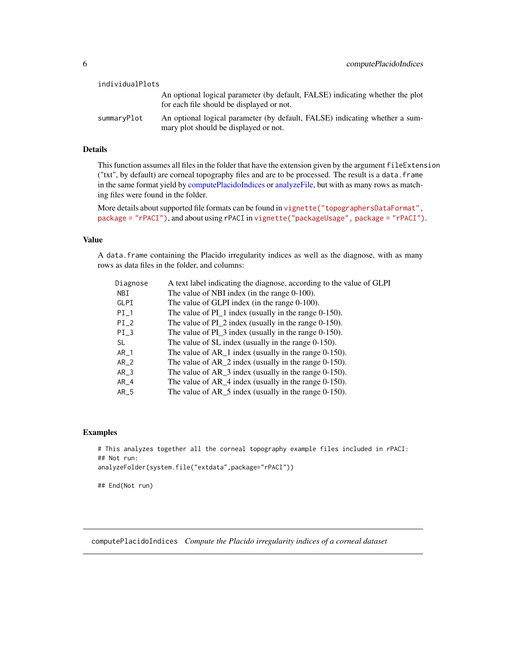<span id="page-5-0"></span>

| individualPlots |                                                                                                                            |
|-----------------|----------------------------------------------------------------------------------------------------------------------------|
|                 | An optional logical parameter (by default, FALSE) indicating whether the plot<br>for each file should be displayed or not. |
| summaryPlot     | An optional logical parameter (by default, FALSE) indicating whether a sum-<br>mary plot should be displayed or not.       |

# Details

This function assumes all files in the folder that have the extension given by the argument fileExtension ("txt", by default) are corneal topography files and are to be processed. The result is a data.frame in the same format yield by [computePlacidoIndices](#page-5-1) or [analyzeFile,](#page-3-1) but with as many rows as matching files were found in the folder.

More details about supported file formats can be found in [vignette\("topographersDataFormat",](../doc/topographersDataFormat.html) [package = "rPACI"\)](../doc/topographersDataFormat.html), and about using rPACI in [vignette\("packageUsage", package = "rPACI"\)](../doc/packageUsage.html).

#### Value

A data.frame containing the Placido irregularity indices as well as the diagnose, with as many rows as data files in the folder, and columns:

| Diagnose   | A text label indicating the diagnose, according to the value of GLPI |
|------------|----------------------------------------------------------------------|
| <b>NBI</b> | The value of NBI index (in the range 0-100).                         |
| GLPI       | The value of GLPI index (in the range $0-100$ ).                     |
| $PI_1$     | The value of $PI_1$ index (usually in the range 0-150).              |
| $PI_2$     | The value of $PI_2$ index (usually in the range 0-150).              |
| $PI_3$     | The value of $PI_3$ index (usually in the range 0-150).              |
| SL.        | The value of SL index (usually in the range 0-150).                  |
| $AR_1$     | The value of $AR_1$ index (usually in the range 0-150).              |
| $AR_2$     | The value of $AR_2$ index (usually in the range 0-150).              |
| $AR_3$     | The value of $AR_3$ index (usually in the range 0-150).              |
| $AR_4$     | The value of $AR_4$ index (usually in the range 0-150).              |
| $AR_5$     | The value of $AR_5$ index (usually in the range 0-150).              |
|            |                                                                      |

# Examples

# This analyzes together all the corneal topography example files included in rPACI: ## Not run: analyzeFolder(system.file("extdata",package="rPACI"))

## End(Not run)

<span id="page-5-1"></span>computePlacidoIndices *Compute the Placido irregularity indices of a corneal dataset*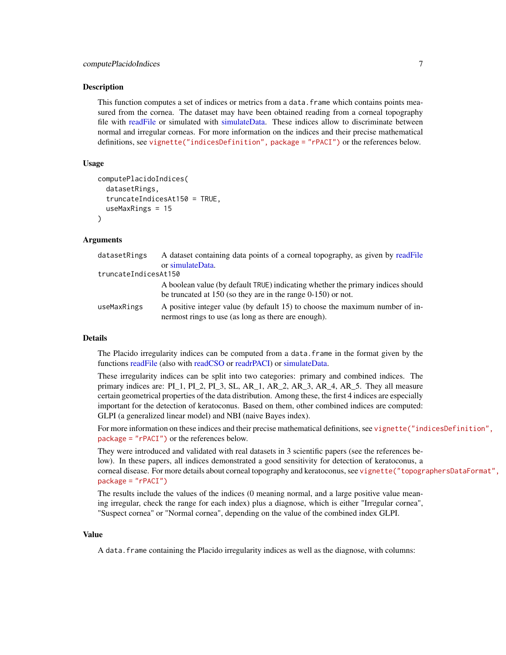<span id="page-6-0"></span>This function computes a set of indices or metrics from a data.frame which contains points measured from the cornea. The dataset may have been obtained reading from a corneal topography file with [readFile](#page-10-1) or simulated with [simulateData.](#page-13-1) These indices allow to discriminate between normal and irregular corneas. For more information on the indices and their precise mathematical definitions, see [vignette\("indicesDefinition", package = "rPACI"\)](../doc/indicesDefinition.html) or the references below.

# Usage

```
computePlacidoIndices(
  datasetRings,
  truncateIndicesAt150 = TRUE,
  useMaxRings = 15
)
```
# Arguments

| datasetRings         | A dataset containing data points of a corneal topography, as given by readFile  |
|----------------------|---------------------------------------------------------------------------------|
|                      | or simulateData.                                                                |
| truncateIndicesAt150 |                                                                                 |
|                      | A boolean value (by default TRUE) indicating whether the primary indices should |
|                      | be truncated at $150$ (so they are in the range $0-150$ ) or not.               |
| useMaxRings          | A positive integer value (by default 15) to choose the maximum number of in-    |
|                      | nermost rings to use (as long as there are enough).                             |

#### Details

The Placido irregularity indices can be computed from a data.frame in the format given by the functions [readFile](#page-10-1) (also with [readCSO](#page-9-1) or [readrPACI\)](#page-12-1) or [simulateData.](#page-13-1)

These irregularity indices can be split into two categories: primary and combined indices. The primary indices are: PI\_1, PI\_2, PI\_3, SL, AR\_1, AR\_2, AR\_3, AR\_4, AR\_5. They all measure certain geometrical properties of the data distribution. Among these, the first 4 indices are especially important for the detection of keratoconus. Based on them, other combined indices are computed: GLPI (a generalized linear model) and NBI (naive Bayes index).

For more information on these indices and their precise mathematical definitions, see [vignette\("ind](../doc/indicesDefinition.html)icesDefinition", [package = "rPACI"\)](../doc/indicesDefinition.html) or the references below.

They were introduced and validated with real datasets in 3 scientific papers (see the references below). In these papers, all indices demonstrated a good sensitivity for detection of keratoconus, a corneal disease. For more details about corneal topography and keratoconus, see [vignette\("topogr](../doc/topographersDataFormat.html)aphersDataFormat", [package = "rPACI"\)](../doc/topographersDataFormat.html)

The results include the values of the indices (0 meaning normal, and a large positive value meaning irregular, check the range for each index) plus a diagnose, which is either "Irregular cornea", "Suspect cornea" or "Normal cornea", depending on the value of the combined index GLPI.

#### Value

A data.frame containing the Placido irregularity indices as well as the diagnose, with columns: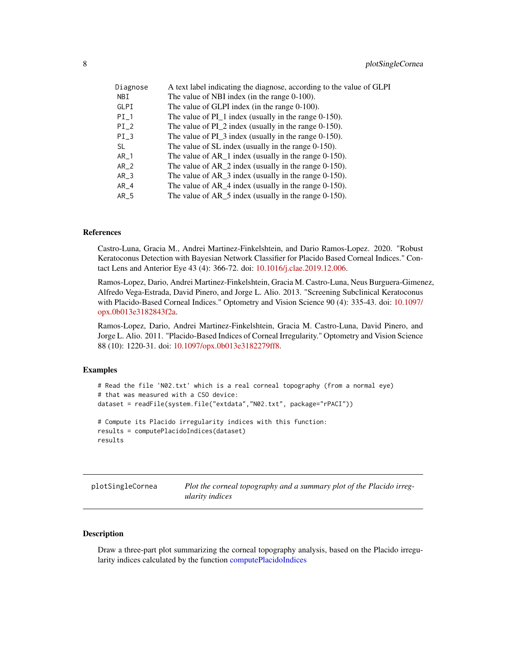<span id="page-7-0"></span>

| Diagnose | A text label indicating the diagnose, according to the value of GLPI |
|----------|----------------------------------------------------------------------|
| NBI      | The value of NBI index (in the range 0-100).                         |
| GLPI     | The value of GLPI index (in the range $0-100$ ).                     |
| $PI_1$   | The value of $PI_1$ index (usually in the range 0-150).              |
| $PI_2$   | The value of $PI_2$ index (usually in the range 0-150).              |
| $PI_3$   | The value of $PI_3$ index (usually in the range 0-150).              |
| SL       | The value of SL index (usually in the range 0-150).                  |
| $AR_1$   | The value of $AR_1$ index (usually in the range 0-150).              |
| $AR_2$   | The value of $AR_2$ index (usually in the range 0-150).              |
| $AR_3$   | The value of $AR_3$ index (usually in the range 0-150).              |
| $AR_4$   | The value of $AR_4$ index (usually in the range 0-150).              |
| $AR_5$   | The value of $AR_5$ index (usually in the range 0-150).              |

# References

Castro-Luna, Gracia M., Andrei Martinez-Finkelshtein, and Dario Ramos-Lopez. 2020. "Robust Keratoconus Detection with Bayesian Network Classifier for Placido Based Corneal Indices." Contact Lens and Anterior Eye 43 (4): 366-72. doi: [10.1016/j.clae.2019.12.006.](https://doi.org/10.1016/j.clae.2019.12.006)

Ramos-Lopez, Dario, Andrei Martinez-Finkelshtein, Gracia M. Castro-Luna, Neus Burguera-Gimenez, Alfredo Vega-Estrada, David Pinero, and Jorge L. Alio. 2013. "Screening Subclinical Keratoconus with Placido-Based Corneal Indices." Optometry and Vision Science 90 (4): 335-43. doi: [10.1097/](https://doi.org/10.1097/opx.0b013e3182843f2a) [opx.0b013e3182843f2a.](https://doi.org/10.1097/opx.0b013e3182843f2a)

Ramos-Lopez, Dario, Andrei Martinez-Finkelshtein, Gracia M. Castro-Luna, David Pinero, and Jorge L. Alio. 2011. "Placido-Based Indices of Corneal Irregularity." Optometry and Vision Science 88 (10): 1220-31. doi: [10.1097/opx.0b013e3182279ff8.](https://doi.org/10.1097/opx.0b013e3182279ff8)

#### Examples

```
# Read the file 'N02.txt' which is a real corneal topography (from a normal eye)
# that was measured with a CSO device:
dataset = readFile(system.file("extdata","N02.txt", package="rPACI"))
# Compute its Placido irregularity indices with this function:
results = computePlacidoIndices(dataset)
results
```
<span id="page-7-1"></span>plotSingleCornea *Plot the corneal topography and a summary plot of the Placido irregularity indices*

#### Description

Draw a three-part plot summarizing the corneal topography analysis, based on the Placido irregularity indices calculated by the function [computePlacidoIndices](#page-5-1)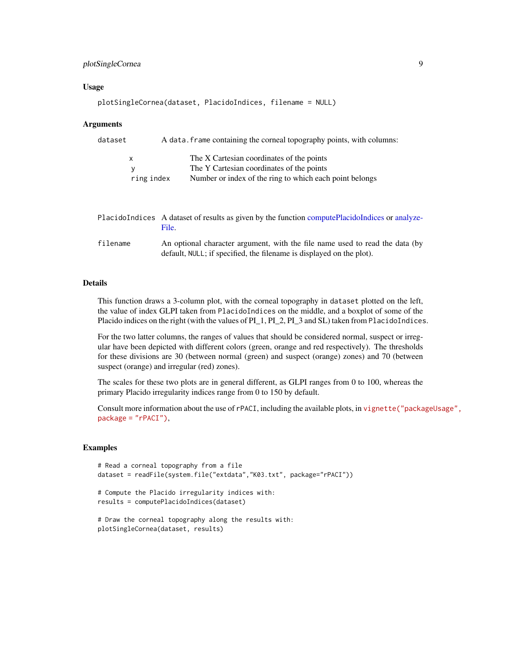# <span id="page-8-0"></span>plotSingleCornea 9

#### Usage

```
plotSingleCornea(dataset, PlacidoIndices, filename = NULL)
```
#### Arguments

| dataset | A data. frame containing the corneal topography points, with columns: |                                                         |  |
|---------|-----------------------------------------------------------------------|---------------------------------------------------------|--|
| x       |                                                                       | The X Cartesian coordinates of the points               |  |
| v       |                                                                       | The Y Cartesian coordinates of the points               |  |
|         | ring index                                                            | Number or index of the ring to which each point belongs |  |
|         |                                                                       |                                                         |  |

|          | Placido Indices A dataset of results as given by the function compute Placido Indices or analyze-<br>File.                                           |
|----------|------------------------------------------------------------------------------------------------------------------------------------------------------|
| filename | An optional character argument, with the file name used to read the data (by<br>default, NULL; if specified, the filename is displayed on the plot). |

# Details

This function draws a 3-column plot, with the corneal topography in dataset plotted on the left, the value of index GLPI taken from PlacidoIndices on the middle, and a boxplot of some of the Placido indices on the right (with the values of PI\_1, PI\_2, PI\_3 and SL) taken from PlacidoIndices.

For the two latter columns, the ranges of values that should be considered normal, suspect or irregular have been depicted with different colors (green, orange and red respectively). The thresholds for these divisions are 30 (between normal (green) and suspect (orange) zones) and 70 (between suspect (orange) and irregular (red) zones).

The scales for these two plots are in general different, as GLPI ranges from 0 to 100, whereas the primary Placido irregularity indices range from 0 to 150 by default.

Consult more information about the use of rPACI, including the available plots, in [vignette\("packa](../doc/packageUsage.html)geUsage", [package = "rPACI"\)](../doc/packageUsage.html),

#### Examples

```
# Read a corneal topography from a file
dataset = readFile(system.file("extdata","K03.txt", package="rPACI"))
# Compute the Placido irregularity indices with:
results = computePlacidoIndices(dataset)
# Draw the corneal topography along the results with:
plotSingleCornea(dataset, results)
```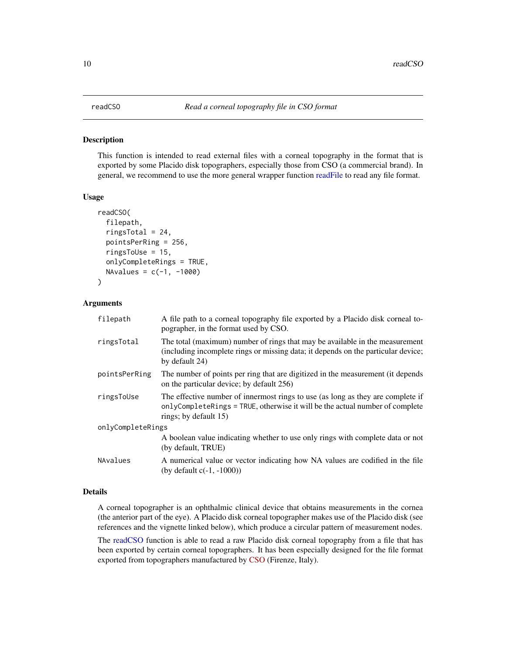<span id="page-9-1"></span><span id="page-9-0"></span>This function is intended to read external files with a corneal topography in the format that is exported by some Placido disk topographers, especially those from CSO (a commercial brand). In general, we recommend to use the more general wrapper function [readFile](#page-10-1) to read any file format.

#### Usage

```
readCSO(
  filepath,
  ringsTotal = 24,pointsPerRing = 256,
  ringsToUse = 15,
  onlyCompleteRings = TRUE,
 NAvalues = c(-1, -1000))
```
# Arguments

| filepath          | A file path to a corneal topography file exported by a Placido disk corneal to-<br>pographer, in the format used by CSO.                                                                 |  |
|-------------------|------------------------------------------------------------------------------------------------------------------------------------------------------------------------------------------|--|
| ringsTotal        | The total (maximum) number of rings that may be available in the measurement<br>(including incomplete rings or missing data; it depends on the particular device;<br>by default 24)      |  |
| pointsPerRing     | The number of points per ring that are digitized in the measurement (it depends<br>on the particular device; by default 256)                                                             |  |
| ringsToUse        | The effective number of innermost rings to use (as long as they are complete if<br>onlyCompleteRings = TRUE, otherwise it will be the actual number of complete<br>rings; by default 15) |  |
| onlyCompleteRings |                                                                                                                                                                                          |  |
|                   | A boolean value indicating whether to use only rings with complete data or not<br>(by default, TRUE)                                                                                     |  |
| NAvalues          | A numerical value or vector indicating how NA values are codified in the file<br>(by default $c(-1, -1000)$ )                                                                            |  |

# Details

A corneal topographer is an ophthalmic clinical device that obtains measurements in the cornea (the anterior part of the eye). A Placido disk corneal topographer makes use of the Placido disk (see references and the vignette linked below), which produce a circular pattern of measurement nodes.

The [readCSO](#page-9-1) function is able to read a raw Placido disk corneal topography from a file that has been exported by certain corneal topographers. It has been especially designed for the file format exported from topographers manufactured by [CSO](https://www.csoitalia.it) (Firenze, Italy).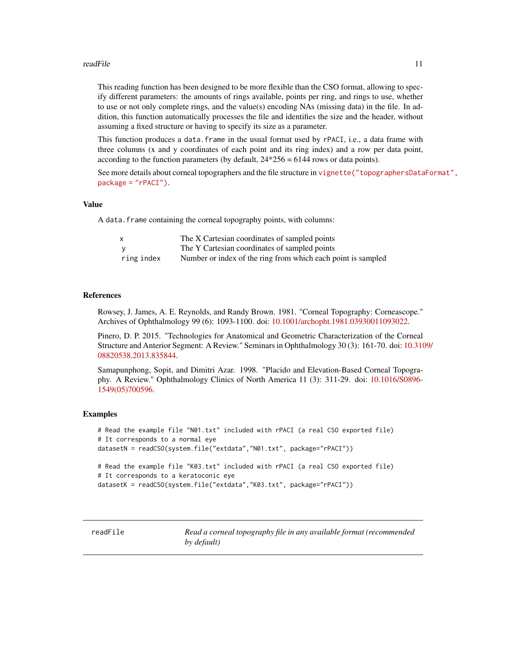#### <span id="page-10-0"></span>readFile that the contract of the contract of the contract of the contract of the contract of the contract of the contract of the contract of the contract of the contract of the contract of the contract of the contract of

This reading function has been designed to be more flexible than the CSO format, allowing to specify different parameters: the amounts of rings available, points per ring, and rings to use, whether to use or not only complete rings, and the value(s) encoding NAs (missing data) in the file. In addition, this function automatically processes the file and identifies the size and the header, without assuming a fixed structure or having to specify its size as a parameter.

This function produces a data. frame in the usual format used by rPACI, i.e., a data frame with three columns (x and y coordinates of each point and its ring index) and a row per data point, according to the function parameters (by default,  $24*256 = 6144$  rows or data points).

See more details about corneal topographers and the file structure in [vignette\("topographersData](../doc/topographersDataFormat.html)Format", [package = "rPACI"\)](../doc/topographersDataFormat.html).

#### Value

A data. frame containing the corneal topography points, with columns:

| $\mathsf{x}$ | The X Cartesian coordinates of sampled points                |
|--------------|--------------------------------------------------------------|
|              | The Y Cartesian coordinates of sampled points                |
| ring index   | Number or index of the ring from which each point is sampled |

# References

Rowsey, J. James, A. E. Reynolds, and Randy Brown. 1981. "Corneal Topography: Corneascope." Archives of Ophthalmology 99 (6): 1093-1100. doi: [10.1001/archopht.1981.03930011093022.](https://doi.org/10.1001/archopht.1981.03930011093022)

Pinero, D. P. 2015. "Technologies for Anatomical and Geometric Characterization of the Corneal Structure and Anterior Segment: A Review." Seminars in Ophthalmology 30 (3): 161-70. doi: [10.310](https://doi.org/10.3109/08820538.2013.835844)9/ [08820538.2013.835844.](https://doi.org/10.3109/08820538.2013.835844)

Samapunphong, Sopit, and Dimitri Azar. 1998. "Placido and Elevation-Based Corneal Topography. A Review." Ophthalmology Clinics of North America 11 (3): 311-29. doi: [10.1016/S0896-](https://doi.org/10.1016/S0896-1549(05)70059-6) [1549\(05\)700596.](https://doi.org/10.1016/S0896-1549(05)70059-6)

#### Examples

```
# Read the example file "N01.txt" included with rPACI (a real CSO exported file)
# It corresponds to a normal eye
datasetN = readCSO(system.file("extdata","N01.txt", package="rPACI"))
# Read the example file "K03.txt" included with rPACI (a real CSO exported file)
# It corresponds to a keratoconic eye
datasetK = readCSO(system.file("extdata","K03.txt", package="rPACI"))
```
<span id="page-10-1"></span>readFile *Read a corneal topography file in any available format (recommended by default)*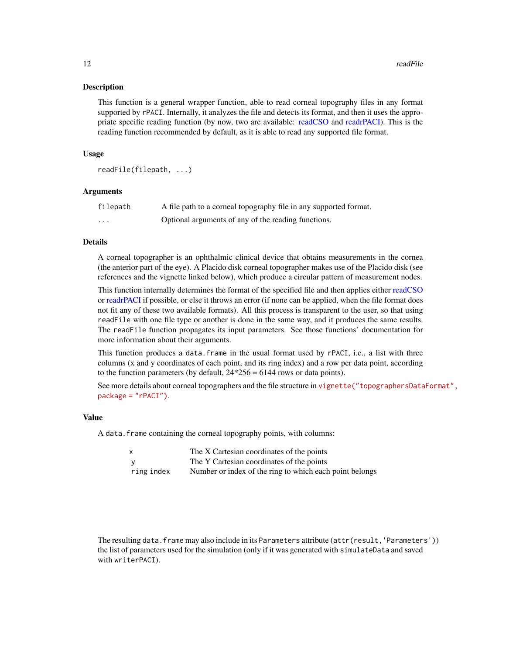<span id="page-11-0"></span>This function is a general wrapper function, able to read corneal topography files in any format supported by rPACI. Internally, it analyzes the file and detects its format, and then it uses the appropriate specific reading function (by now, two are available: [readCSO](#page-9-1) and [readrPACI\)](#page-12-1). This is the reading function recommended by default, as it is able to read any supported file format.

## Usage

```
readFile(filepath, ...)
```
#### Arguments

| filepath | A file path to a corneal topography file in any supported format. |
|----------|-------------------------------------------------------------------|
| .        | Optional arguments of any of the reading functions.               |

### Details

A corneal topographer is an ophthalmic clinical device that obtains measurements in the cornea (the anterior part of the eye). A Placido disk corneal topographer makes use of the Placido disk (see references and the vignette linked below), which produce a circular pattern of measurement nodes.

This function internally determines the format of the specified file and then applies either [readCSO](#page-9-1) or [readrPACI](#page-12-1) if possible, or else it throws an error (if none can be applied, when the file format does not fit any of these two available formats). All this process is transparent to the user, so that using readFile with one file type or another is done in the same way, and it produces the same results. The readFile function propagates its input parameters. See those functions' documentation for more information about their arguments.

This function produces a data.frame in the usual format used by rPACI, i.e., a list with three columns (x and y coordinates of each point, and its ring index) and a row per data point, according to the function parameters (by default,  $24*256 = 6144$  rows or data points).

See more details about corneal topographers and the file structure in [vignette\("topographersData](../doc/topographersDataFormat.html)Format", [package = "rPACI"\)](../doc/topographersDataFormat.html).

## Value

A data.frame containing the corneal topography points, with columns:

| X          | The X Cartesian coordinates of the points               |
|------------|---------------------------------------------------------|
|            | The Y Cartesian coordinates of the points               |
| ring index | Number or index of the ring to which each point belongs |

The resulting data.frame may also include in its Parameters attribute (attr(result, 'Parameters')) the list of parameters used for the simulation (only if it was generated with simulateData and saved with writerPACI).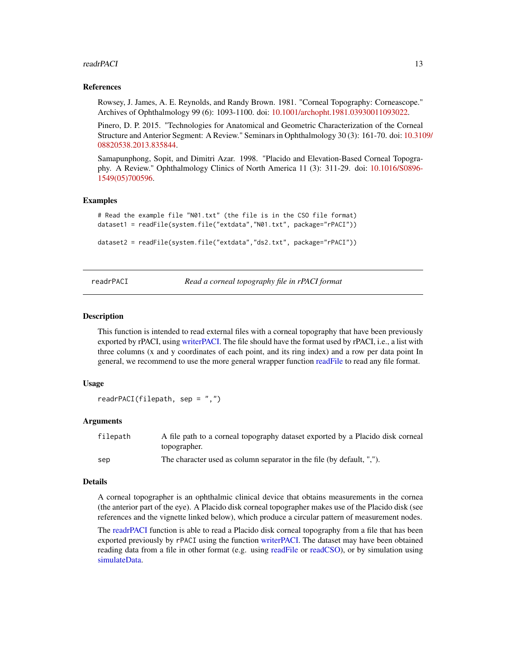#### <span id="page-12-0"></span>readrPACI 13

#### References

Rowsey, J. James, A. E. Reynolds, and Randy Brown. 1981. "Corneal Topography: Corneascope." Archives of Ophthalmology 99 (6): 1093-1100. doi: [10.1001/archopht.1981.03930011093022.](https://doi.org/10.1001/archopht.1981.03930011093022)

Pinero, D. P. 2015. "Technologies for Anatomical and Geometric Characterization of the Corneal Structure and Anterior Segment: A Review." Seminars in Ophthalmology 30 (3): 161-70. doi: [10.310](https://doi.org/10.3109/08820538.2013.835844)9/ [08820538.2013.835844.](https://doi.org/10.3109/08820538.2013.835844)

Samapunphong, Sopit, and Dimitri Azar. 1998. "Placido and Elevation-Based Corneal Topography. A Review." Ophthalmology Clinics of North America 11 (3): 311-29. doi: [10.1016/S0896-](https://doi.org/10.1016/S0896-1549(05)70059-6) [1549\(05\)700596.](https://doi.org/10.1016/S0896-1549(05)70059-6)

#### Examples

```
# Read the example file "N01.txt" (the file is in the CSO file format)
dataset1 = readFile(system.file("extdata","N01.txt", package="rPACI"))
dataset2 = readFile(system.file("extdata","ds2.txt", package="rPACI"))
```
<span id="page-12-1"></span>readrPACI *Read a corneal topography file in rPACI format*

#### Description

This function is intended to read external files with a corneal topography that have been previously exported by rPACI, using [writerPACI.](#page-16-1) The file should have the format used by rPACI, i.e., a list with three columns (x and y coordinates of each point, and its ring index) and a row per data point In general, we recommend to use the more general wrapper function [readFile](#page-10-1) to read any file format.

#### Usage

```
readrPACI(filepath, sep = ",")
```
#### Arguments

| filepath | A file path to a corneal topography dataset exported by a Placido disk corneal |
|----------|--------------------------------------------------------------------------------|
|          | topographer.                                                                   |
| sep      | The character used as column separator in the file (by default. ".").          |

#### Details

A corneal topographer is an ophthalmic clinical device that obtains measurements in the cornea (the anterior part of the eye). A Placido disk corneal topographer makes use of the Placido disk (see references and the vignette linked below), which produce a circular pattern of measurement nodes.

The [readrPACI](#page-12-1) function is able to read a Placido disk corneal topography from a file that has been exported previously by rPACI using the function [writerPACI.](#page-16-1) The dataset may have been obtained reading data from a file in other format (e.g. using [readFile](#page-10-1) or [readCSO\)](#page-9-1), or by simulation using [simulateData.](#page-13-1)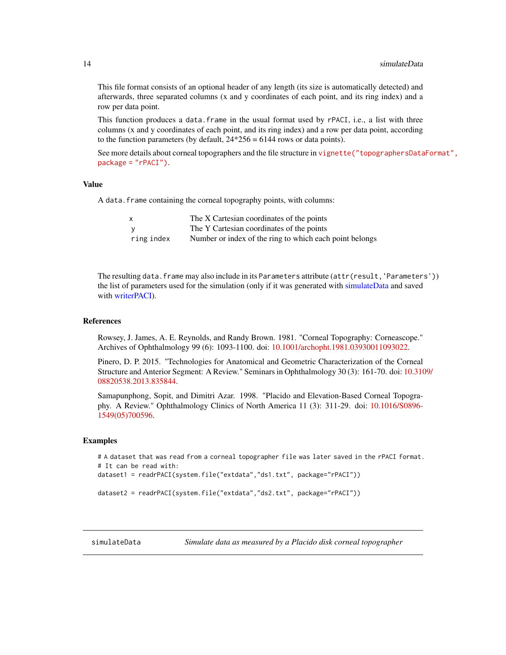This file format consists of an optional header of any length (its size is automatically detected) and afterwards, three separated columns (x and y coordinates of each point, and its ring index) and a row per data point.

This function produces a data.frame in the usual format used by rPACI, i.e., a list with three columns (x and y coordinates of each point, and its ring index) and a row per data point, according to the function parameters (by default,  $24*256 = 6144$  rows or data points).

See more details about corneal topographers and the file structure in [vignette\("topographersData](../doc/topographersDataFormat.html)Format", [package = "rPACI"\)](../doc/topographersDataFormat.html).

#### Value

A data. frame containing the corneal topography points, with columns:

| <b>X</b>   | The X Cartesian coordinates of the points               |
|------------|---------------------------------------------------------|
|            | The Y Cartesian coordinates of the points               |
| ring index | Number or index of the ring to which each point belongs |

The resulting data. frame may also include in its Parameters attribute (attr(result, 'Parameters')) the list of parameters used for the simulation (only if it was generated with [simulateData](#page-13-1) and saved with [writerPACI\)](#page-16-1).

#### References

Rowsey, J. James, A. E. Reynolds, and Randy Brown. 1981. "Corneal Topography: Corneascope." Archives of Ophthalmology 99 (6): 1093-1100. doi: [10.1001/archopht.1981.03930011093022.](https://doi.org/10.1001/archopht.1981.03930011093022)

Pinero, D. P. 2015. "Technologies for Anatomical and Geometric Characterization of the Corneal Structure and Anterior Segment: A Review." Seminars in Ophthalmology 30 (3): 161-70. doi: [10.310](https://doi.org/10.3109/08820538.2013.835844)9/ [08820538.2013.835844.](https://doi.org/10.3109/08820538.2013.835844)

Samapunphong, Sopit, and Dimitri Azar. 1998. "Placido and Elevation-Based Corneal Topography. A Review." Ophthalmology Clinics of North America 11 (3): 311-29. doi: [10.1016/S0896-](https://doi.org/10.1016/S0896-1549(05)70059-6) [1549\(05\)700596.](https://doi.org/10.1016/S0896-1549(05)70059-6)

#### Examples

```
# A dataset that was read from a corneal topographer file was later saved in the rPACI format.
# It can be read with:
dataset1 = readrPACI(system.file("extdata","ds1.txt", package="rPACI"))
dataset2 = readrPACI(system.file("extdata","ds2.txt", package="rPACI"))
```
<span id="page-13-1"></span>simulateData *Simulate data as measured by a Placido disk corneal topographer*

<span id="page-13-0"></span>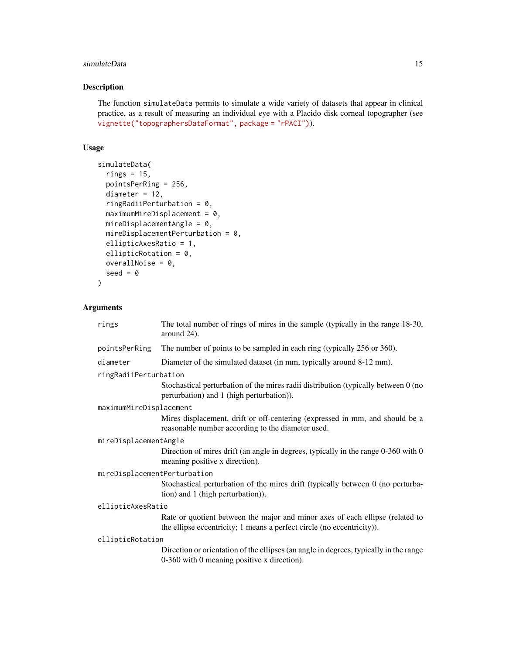# simulateData 15

# Description

The function simulateData permits to simulate a wide variety of datasets that appear in clinical practice, as a result of measuring an individual eye with a Placido disk corneal topographer (see [vignette\("topographersDataFormat", package = "rPACI"\)](../doc/topographersDataFormat.html)).

# Usage

```
simulateData(
  rings = 15,
 pointsPerRing = 256,
  diameter = 12,
  ringRadiiPerturbation = 0,
  maximumMireDisplacement = 0,
 mireDisplacementAngle = 0,
 mireDisplacementPerturbation = 0,
  ellipticAxesRatio = 1,
  ellipticRotation = 0,
 overallNoise = 0,
  seed = 0\mathcal{L}
```
# Arguments

| rings                        | The total number of rings of mires in the sample (typically in the range 18-30,<br>around 24).                                                          |  |
|------------------------------|---------------------------------------------------------------------------------------------------------------------------------------------------------|--|
| pointsPerRing                | The number of points to be sampled in each ring (typically 256 or 360).                                                                                 |  |
| diameter                     | Diameter of the simulated dataset (in mm, typically around 8-12 mm).                                                                                    |  |
| ringRadiiPerturbation        |                                                                                                                                                         |  |
|                              | Stochastical perturbation of the mires radii distribution (typically between 0 (no<br>perturbation) and 1 (high perturbation)).                         |  |
| maximumMireDisplacement      |                                                                                                                                                         |  |
|                              | Mires displacement, drift or off-centering (expressed in mm, and should be a<br>reasonable number according to the diameter used.                       |  |
| mireDisplacementAngle        |                                                                                                                                                         |  |
|                              | Direction of mires drift (an angle in degrees, typically in the range 0-360 with 0<br>meaning positive x direction).                                    |  |
| mireDisplacementPerturbation |                                                                                                                                                         |  |
|                              | Stochastical perturbation of the mires drift (typically between 0 (no perturba-<br>tion) and 1 (high perturbation)).                                    |  |
| ellipticAxesRatio            |                                                                                                                                                         |  |
|                              | Rate or quotient between the major and minor axes of each ellipse (related to<br>the ellipse eccentricity; 1 means a perfect circle (no eccentricity)). |  |
| ellipticRotation             |                                                                                                                                                         |  |
|                              | Direction or orientation of the ellipses (an angle in degrees, typically in the range<br>0-360 with 0 meaning positive x direction).                    |  |
|                              |                                                                                                                                                         |  |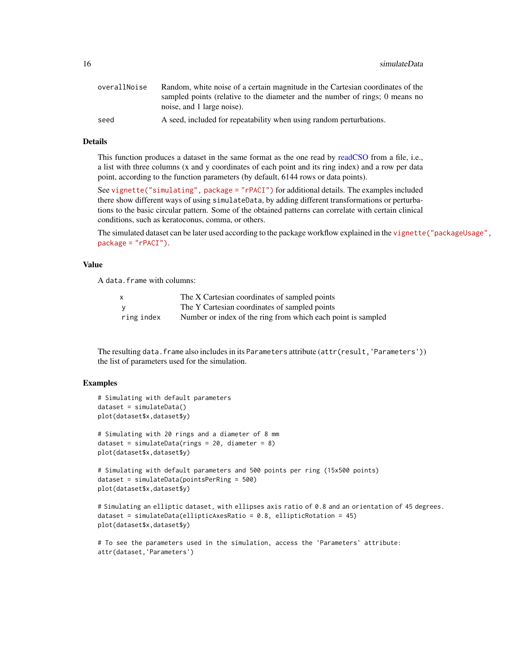<span id="page-15-0"></span>16 simulateData

| overallNoise | Random, white noise of a certain magnitude in the Cartesian coordinates of the |
|--------------|--------------------------------------------------------------------------------|
|              | sampled points (relative to the diameter and the number of rings; 0 means no   |
|              | noise, and 1 large noise).                                                     |
| seed         | A seed, included for repeatability when using random perturbations.            |

#### Details

This function produces a dataset in the same format as the one read by [readCSO](#page-9-1) from a file, i.e., a list with three columns (x and y coordinates of each point and its ring index) and a row per data point, according to the function parameters (by default, 6144 rows or data points).

See [vignette\("simulating", package = "rPACI"\)](../doc/simulating.html) for additional details. The examples included there show different ways of using simulateData, by adding different transformations or perturbations to the basic circular pattern. Some of the obtained patterns can correlate with certain clinical conditions, such as keratoconus, comma, or others.

The simulated dataset can be later used according to the package workflow explained in the [vignette](../doc/packageUsage.html)("packageUsage", [package = "rPACI"\)](../doc/packageUsage.html).

# Value

A data.frame with columns:

| $\mathsf{x}$ | The X Cartesian coordinates of sampled points                |
|--------------|--------------------------------------------------------------|
|              | The Y Cartesian coordinates of sampled points                |
| ring index   | Number or index of the ring from which each point is sampled |

The resulting data.frame also includes in its Parameters attribute (attr(result,'Parameters')) the list of parameters used for the simulation.

#### Examples

```
# Simulating with default parameters
dataset = simulateData()
plot(dataset$x,dataset$y)
# Simulating with 20 rings and a diameter of 8 mm
dataset = simulateData(rings = 20, diameter = 8)
plot(dataset$x,dataset$y)
# Simulating with default parameters and 500 points per ring (15x500 points)
dataset = simulateData(pointsPerRing = 500)
plot(dataset$x,dataset$y)
# Simulating an elliptic dataset, with ellipses axis ratio of 0.8 and an orientation of 45 degrees.
dataset = simulateData(ellipticAxesRatio = 0.8, ellipticRotation = 45)
```

```
plot(dataset$x,dataset$y)
```

```
# To see the parameters used in the simulation, access the 'Parameters' attribute:
attr(dataset,'Parameters')
```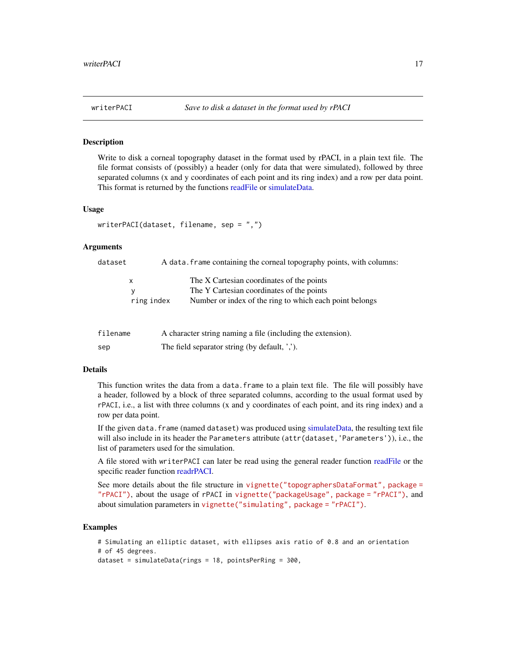<span id="page-16-1"></span><span id="page-16-0"></span>

Write to disk a corneal topography dataset in the format used by rPACI, in a plain text file. The file format consists of (possibly) a header (only for data that were simulated), followed by three separated columns (x and y coordinates of each point and its ring index) and a row per data point. This format is returned by the functions [readFile](#page-10-1) or [simulateData.](#page-13-1)

#### Usage

```
writerPACI(dataset, filename, sep = ",")
```
#### Arguments

| dataset  |                      | A data. frame containing the corneal topography points, with columns:                                                                             |
|----------|----------------------|---------------------------------------------------------------------------------------------------------------------------------------------------|
|          | x<br>у<br>ring index | The X Cartesian coordinates of the points<br>The Y Cartesian coordinates of the points<br>Number or index of the ring to which each point belongs |
| filename |                      | A character string naming a file (including the extension).                                                                                       |

sep The field separator string (by default, ',').

# Details

This function writes the data from a data.frame to a plain text file. The file will possibly have a header, followed by a block of three separated columns, according to the usual format used by rPACI, i.e., a list with three columns (x and y coordinates of each point, and its ring index) and a row per data point.

If the given data.frame (named dataset) was produced using [simulateData,](#page-13-1) the resulting text file will also include in its header the Parameters attribute (attr(dataset,'Parameters')), i.e., the list of parameters used for the simulation.

A file stored with writerPACI can later be read using the general reader function [readFile](#page-10-1) or the specific reader function [readrPACI.](#page-12-1)

See more details about the file structure in [vignette\("topographersDataFormat", package =](../doc/topographersDataFormat.html) ["rPACI"\)](../doc/topographersDataFormat.html), about the usage of rPACI in [vignette\("packageUsage", package = "rPACI"\)](../doc/packageUsage.html), and about simulation parameters in [vignette\("simulating", package = "rPACI"\)](../doc/simulating.html).

# Examples

```
# Simulating an elliptic dataset, with ellipses axis ratio of 0.8 and an orientation
# of 45 degrees.
dataset = simulateData(rings = 18, pointsPerRing = 300,
```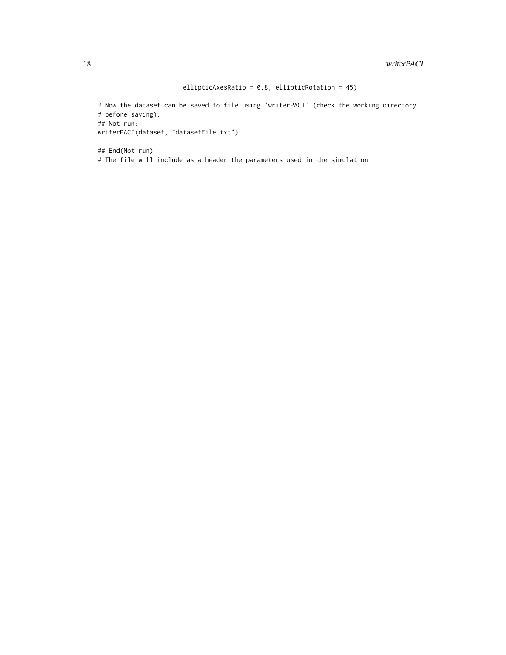ellipticAxesRatio = 0.8, ellipticRotation = 45)

# Now the dataset can be saved to file using 'writerPACI' (check the working directory # before saving): ## Not run: writerPACI(dataset, "datasetFile.txt")

## End(Not run) # The file will include as a header the parameters used in the simulation